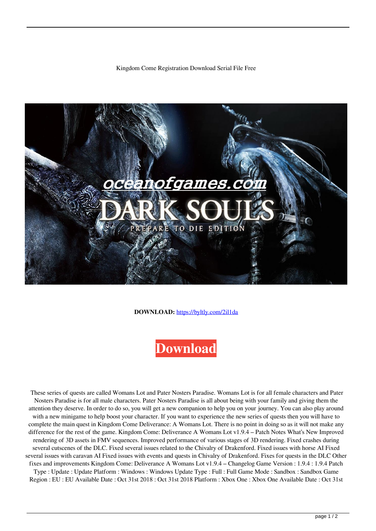## Kingdom Come Registration Download Serial File Free



**DOWNLOAD:** <https://byltly.com/2il1da>

## **[Download](https://byltly.com/2il1da)**

 These series of quests are called Womans Lot and Pater Nosters Paradise. Womans Lot is for all female characters and Pater Nosters Paradise is for all male characters. Pater Nosters Paradise is all about being with your family and giving them the attention they deserve. In order to do so, you will get a new companion to help you on your journey. You can also play around with a new minigame to help boost your character. If you want to experience the new series of quests then you will have to complete the main quest in Kingdom Come Deliverance: A Womans Lot. There is no point in doing so as it will not make any difference for the rest of the game. Kingdom Come: Deliverance A Womans Lot v1.9.4 – Patch Notes What's New Improved rendering of 3D assets in FMV sequences. Improved performance of various stages of 3D rendering. Fixed crashes during several cutscenes of the DLC. Fixed several issues related to the Chivalry of Drakenford. Fixed issues with horse AI Fixed several issues with caravan AI Fixed issues with events and quests in Chivalry of Drakenford. Fixes for quests in the DLC Other fixes and improvements Kingdom Come: Deliverance A Womans Lot v1.9.4 – Changelog Game Version : 1.9.4 : 1.9.4 Patch Type : Update : Update Platform : Windows : Windows Update Type : Full : Full Game Mode : Sandbox : Sandbox Game Region : EU : EU Available Date : Oct 31st 2018 : Oct 31st 2018 Platform : Xbox One : Xbox One Available Date : Oct 31st